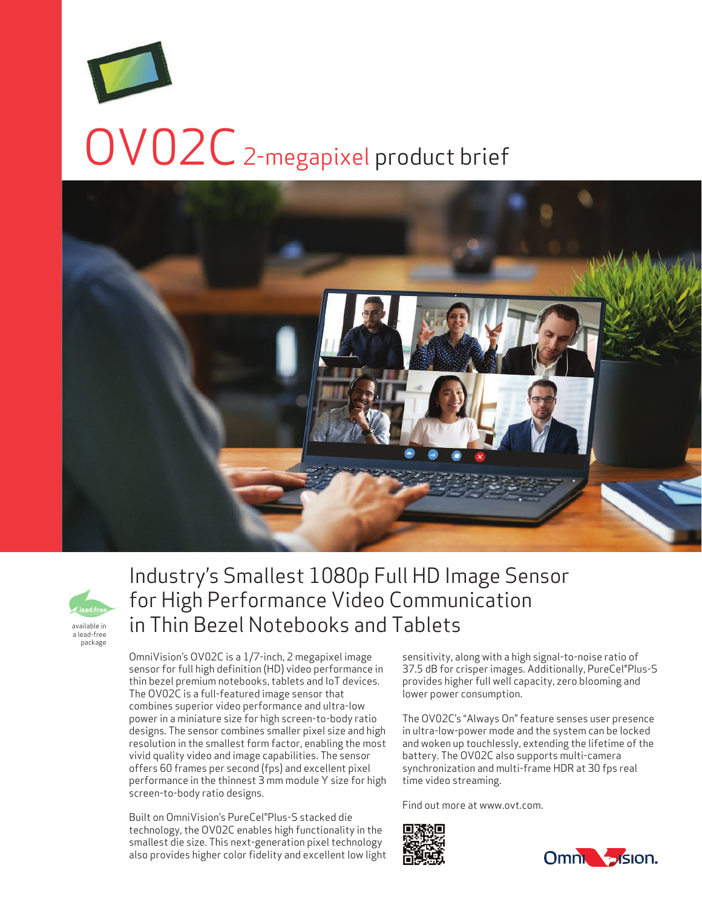# OV02C 2-megapixel product brief





# Industry's Smallest 1080p Full HD Image Sensor for High Performance Video Communication in Thin Bezel Notebooks and Tablets

OmniVision's OV02C is a 1/7-inch, 2 megapixel image sensor for full high definition (HD) video performance in thin bezel premium notebooks, tablets and IoT devices. The OV02C is a full-featured image sensor that combines superior video performance and ultra-low power in a miniature size for high screen-to-body ratio designs. The sensor combines smaller pixel size and high resolution in the smallest form factor, enabling the most vivid quality video and image capabilities. The sensor offers 60 frames per second (fps) and excellent pixel performance in the thinnest 3 mm module Y size for high screen-to-body ratio designs.

Built on OmniVision's PureCel®Plus-S stacked die technology, the OV02C enables high functionality in the smallest die size. This next-generation pixel technology also provides higher color fidelity and excellent low light sensitivity, along with a high signal-to-noise ratio of 37.5 dB for crisper images. Additionally, PureCel®Plus-S provides higher full well capacity, zero blooming and lower power consumption.

The OV02C's "Always On" feature senses user presence in ultra-low-power mode and the system can be locked and woken up touchlessly, extending the lifetime of the battery. The OV02C also supports multi-camera synchronization and multi-frame HDR at 30 fps real time video streaming.

Find out more at www.ovt.com.